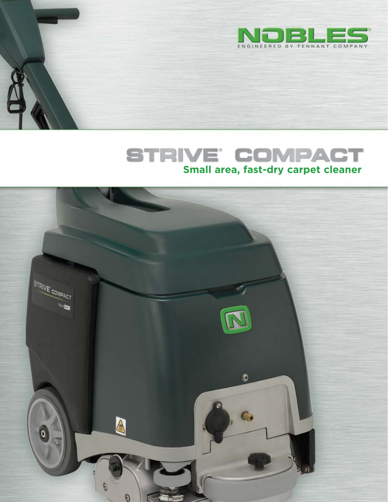

# **STRIVE** COMPACT

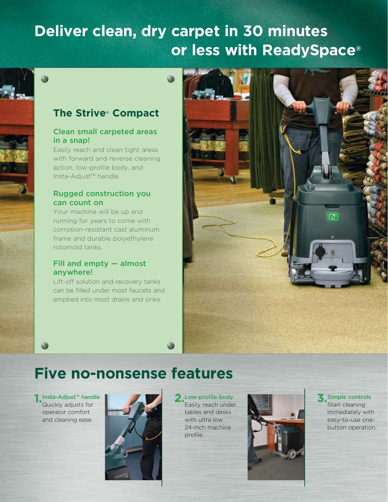# **Deliver clean, dry carpet in 30 minutes or less with ReadySpace®**

## **The Strive® Compact**

## Clean small carpeted areas in a snap!

Easily reach and clean tight areas with forward and reverse cleaning action, low-profile body, and Insta-Adjust™ handle.

## Rugged construction you can count on

Your machine will be up and running for years to come with corrosion-resistant cast aluminum frame and durable polyethylene rotomold tanks.

## Fill and empty — almost anywhere!

Lift-off solution and recovery tanks can be filled under most faucets and emptied into most drains and sinks.



## **Five no-nonsense features**

Quickly adjusts for operator comfort and cleaning ease.



Easily reach under tables and desks with ultra low 24-inch machine profile.



Start cleaning immediately with easy-to-use onebutton operation.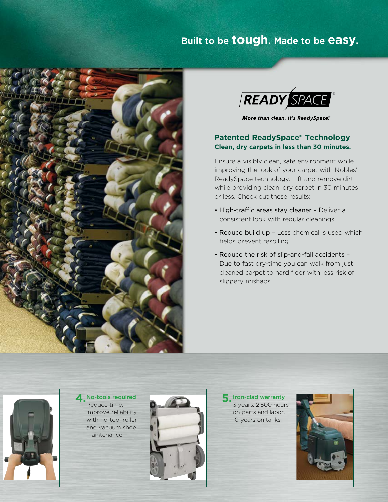## **Built to be tough. Made to be easy.**





More than clean, it's ReadySpace.<sup>®</sup>

### **Patented ReadySpace® Technology Clean, dry carpets in less than 30 minutes.**

Ensure a visibly clean, safe environment while improving the look of your carpet with Nobles' ReadySpace technology. Lift and remove dirt while providing clean, dry carpet in 30 minutes or less. Check out these results:

- High-traffic areas stay cleaner Deliver a consistent look with regular cleanings.
- Reduce build up Less chemical is used which helps prevent resoiling.
- Reduce the risk of slip-and-fall accidents Due to fast dry-time you can walk from just cleaned carpet to hard floor with less risk of slippery mishaps.



A No-tools required Reduce time; improve reliability with no-tool roller and vacuum shoe maintenance.



3 years, 2,500 hours on parts and labor. 10 years on tanks.